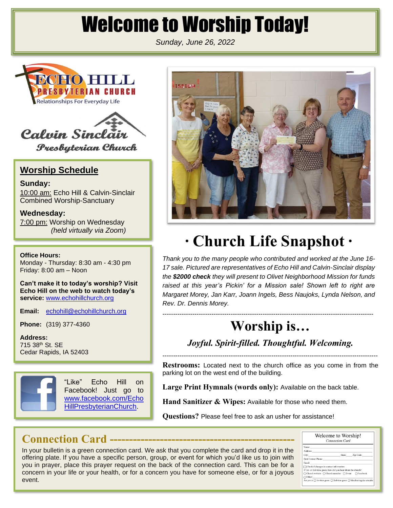# Welcome to Worship Today!

*Sunday, June 26, 2022*





### **Worship Schedule**

**Sunday:** 10:00 am: Echo Hill & Calvin-Sinclair Combined Worship-Sanctuary

**Wednesday:** 7:00 pm: Worship on Wednesday *(held virtually via Zoom)*

**Office Hours:**

Monday - Thursday: 8:30 am - 4:30 pm Friday: 8:00 am – Noon

**Can't make it to today's worship? Visit Echo Hill on the web to watch today's**  service: [www.echohillchurch.org](http://www.echohillchurch.org/)

**Email:** [echohill@echohillchurch.org](mailto:echohill@echohillchurch.org)

**Phone:** (319) 377-4360

**Address:** 715 38th St. SE Cedar Rapids, IA 52403



"Like" Echo Hill on Facebook! Just go to [www.facebook.com/Echo](http://www.facebook.com/EchoHillPresbyterianChurch) [HillPresbyterianChurch.](http://www.facebook.com/EchoHillPresbyterianChurch)



# **∙ Church Life Snapshot ∙**

*Thank you to the many people who contributed and worked at the June 16- 17 sale. Pictured are representatives of Echo Hill and Calvin-Sinclair display the \$2000 check they will present to Olivet Neighborhood Mission for funds*  raised at this year's Pickin' for a Mission sale! Shown left to right are *Margaret Morey, Jan Karr, Joann Ingels, Bess Naujoks, Lynda Nelson, and Rev. Dr. Dennis Morey.*

## **Worship is…**

---------------------------------------------------------------------------------------------------

*Joyful. Spirit-filled. Thoughtful. Welcoming.*

-----------------------------------------------------------------------------------------------------

**Restrooms:** Located next to the church office as you come in from the parking lot on the west end of the building.

**Large Print Hymnals (words only):** Available on the back table.

**Hand Sanitizer & Wipes:** Available for those who need them.

**Questions?** Please feel free to ask an usher for assistance!

## **Connection Card ------------------------------------------------**

In your bulletin is a green connection card. We ask that you complete the card and drop it in the offering plate. If you have a specific person, group, or event for which you'd like us to join with you in prayer, place this prayer request on the back of the connection card. This can be for a concern in your life or your health, or for a concern you have for someone else, or for a joyous event.

| Welcome to Worship!<br><b>Connection Card</b>                                                  |  |                  |  |
|------------------------------------------------------------------------------------------------|--|------------------|--|
| Name:                                                                                          |  |                  |  |
| Address:                                                                                       |  |                  |  |
| City:                                                                                          |  | State: Zip Code: |  |
| <b>Best Contact Phone:</b>                                                                     |  |                  |  |
| Email:                                                                                         |  |                  |  |
| $\Box$ Check if changes in contact information                                                 |  |                  |  |
| If 1st- or 2nd-time guest, how did you hear about the church?                                  |  |                  |  |
| ○ Church website ○ Church member ○ Event ○ Facebook                                            |  |                  |  |
| $\bigcap$ Other:                                                                               |  |                  |  |
| Are you a: $\bigcap$ 1st-time guest $\bigcap$ 2nd-time guest $\bigcap$ Member/regular attender |  |                  |  |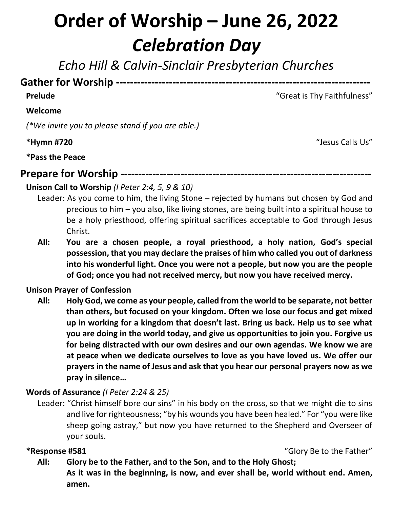# **Order of Worship – June 26, 2022** *Celebration Day*

*Echo Hill & Calvin-Sinclair Presbyterian Churches*

### **Gather for Worship ------------------------------------------------------------------------**

### **Prelude** The Contract of the Contract of the Contract of Contract of Contract of Contract of Contract of Contract of Contract of Contract of Contract of Contract of Contract of Contract of Contract of Contract of Contract

### **Welcome**

*(\*We invite you to please stand if you are able.)*

**\*Hymn #720** "Jesus Calls Us"

**\*Pass the Peace**

**Prepare for Worship -----------------------------------------------------------------------**

### **Unison Call to Worship** *(I Peter 2:4, 5, 9 & 10)*

- Leader: As you come to him, the living Stone rejected by humans but chosen by God and precious to him – you also, like living stones, are being built into a spiritual house to be a holy priesthood, offering spiritual sacrifices acceptable to God through Jesus Christ.
- **All: You are a chosen people, a royal priesthood, a holy nation, God's special possession, that you may declare the praises of him who called you out of darkness into his wonderful light. Once you were not a people, but now you are the people of God; once you had not received mercy, but now you have received mercy.**

### **Unison Prayer of Confession**

**All: Holy God, we come as your people, called from the world to be separate, not better than others, but focused on your kingdom. Often we lose our focus and get mixed up in working for a kingdom that doesn't last. Bring us back. Help us to see what you are doing in the world today, and give us opportunities to join you. Forgive us for being distracted with our own desires and our own agendas. We know we are at peace when we dedicate ourselves to love as you have loved us. We offer our prayers in the name of Jesus and ask that you hear our personal prayers now as we pray in silence…**

### **Words of Assurance** *(I Peter 2:24 & 25)*

Leader: "Christ himself bore our sins" in his body on the cross, so that we might die to sins and live for righteousness; "by his wounds you have been healed." For "you were like sheep going astray," but now you have returned to the Shepherd and Overseer of your souls.

**\*Response #581** "Glory Be to the Father"

**All: Glory be to the Father, and to the Son, and to the Holy Ghost; As it was in the beginning, is now, and ever shall be, world without end. Amen, amen.**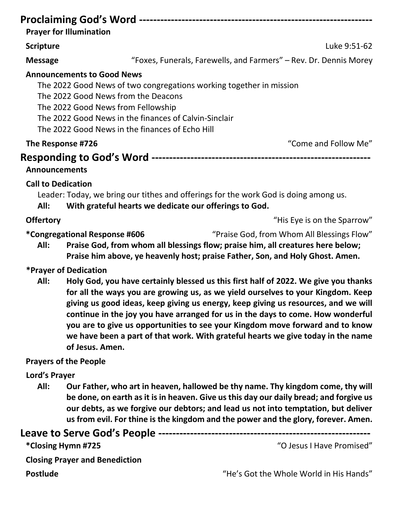|                                                                                                                                                                                                                                                                                                                                                                                                                                                                                                                                                  | <b>Prayer for Illumination</b>                                                                                                                                                                                                                                                                                                                        |                                                                                      |  |
|--------------------------------------------------------------------------------------------------------------------------------------------------------------------------------------------------------------------------------------------------------------------------------------------------------------------------------------------------------------------------------------------------------------------------------------------------------------------------------------------------------------------------------------------------|-------------------------------------------------------------------------------------------------------------------------------------------------------------------------------------------------------------------------------------------------------------------------------------------------------------------------------------------------------|--------------------------------------------------------------------------------------|--|
| <b>Scripture</b>                                                                                                                                                                                                                                                                                                                                                                                                                                                                                                                                 |                                                                                                                                                                                                                                                                                                                                                       | Luke 9:51-62                                                                         |  |
|                                                                                                                                                                                                                                                                                                                                                                                                                                                                                                                                                  |                                                                                                                                                                                                                                                                                                                                                       |                                                                                      |  |
| <b>Message</b>                                                                                                                                                                                                                                                                                                                                                                                                                                                                                                                                   |                                                                                                                                                                                                                                                                                                                                                       | "Foxes, Funerals, Farewells, and Farmers" – Rev. Dr. Dennis Morey                    |  |
|                                                                                                                                                                                                                                                                                                                                                                                                                                                                                                                                                  | <b>Announcements to Good News</b><br>The 2022 Good News of two congregations working together in mission<br>The 2022 Good News from the Deacons<br>The 2022 Good News from Fellowship<br>The 2022 Good News in the finances of Calvin-Sinclair<br>The 2022 Good News in the finances of Echo Hill                                                     |                                                                                      |  |
| The Response #726                                                                                                                                                                                                                                                                                                                                                                                                                                                                                                                                |                                                                                                                                                                                                                                                                                                                                                       | "Come and Follow Me"                                                                 |  |
| <b>Announcements</b><br><b>Call to Dedication</b>                                                                                                                                                                                                                                                                                                                                                                                                                                                                                                |                                                                                                                                                                                                                                                                                                                                                       |                                                                                      |  |
| All:                                                                                                                                                                                                                                                                                                                                                                                                                                                                                                                                             | With grateful hearts we dedicate our offerings to God.                                                                                                                                                                                                                                                                                                | Leader: Today, we bring our tithes and offerings for the work God is doing among us. |  |
| <b>Offertory</b>                                                                                                                                                                                                                                                                                                                                                                                                                                                                                                                                 |                                                                                                                                                                                                                                                                                                                                                       | "His Eye is on the Sparrow"                                                          |  |
| All:                                                                                                                                                                                                                                                                                                                                                                                                                                                                                                                                             | "Praise God, from Whom All Blessings Flow"<br><i>*</i> Congregational Response #606<br>Praise God, from whom all blessings flow; praise him, all creatures here below;<br>Praise him above, ye heavenly host; praise Father, Son, and Holy Ghost. Amen.                                                                                               |                                                                                      |  |
|                                                                                                                                                                                                                                                                                                                                                                                                                                                                                                                                                  | *Prayer of Dedication                                                                                                                                                                                                                                                                                                                                 |                                                                                      |  |
| Holy God, you have certainly blessed us this first half of 2022. We give you thanks<br>All:<br>for all the ways you are growing us, as we yield ourselves to your Kingdom. Keep<br>giving us good ideas, keep giving us energy, keep giving us resources, and we will<br>continue in the joy you have arranged for us in the days to come. How wonderful<br>you are to give us opportunities to see your Kingdom move forward and to know<br>we have been a part of that work. With grateful hearts we give today in the name<br>of Jesus. Amen. |                                                                                                                                                                                                                                                                                                                                                       |                                                                                      |  |
|                                                                                                                                                                                                                                                                                                                                                                                                                                                                                                                                                  | <b>Prayers of the People</b>                                                                                                                                                                                                                                                                                                                          |                                                                                      |  |
| Lord's Prayer                                                                                                                                                                                                                                                                                                                                                                                                                                                                                                                                    |                                                                                                                                                                                                                                                                                                                                                       |                                                                                      |  |
| All:                                                                                                                                                                                                                                                                                                                                                                                                                                                                                                                                             | Our Father, who art in heaven, hallowed be thy name. Thy kingdom come, thy will<br>be done, on earth as it is in heaven. Give us this day our daily bread; and forgive us<br>our debts, as we forgive our debtors; and lead us not into temptation, but deliver<br>us from evil. For thine is the kingdom and the power and the glory, forever. Amen. |                                                                                      |  |
|                                                                                                                                                                                                                                                                                                                                                                                                                                                                                                                                                  |                                                                                                                                                                                                                                                                                                                                                       |                                                                                      |  |
|                                                                                                                                                                                                                                                                                                                                                                                                                                                                                                                                                  | *Closing Hymn #725                                                                                                                                                                                                                                                                                                                                    | "O Jesus I Have Promised"                                                            |  |

**Closing Prayer and Benediction**

**Postlude** The Music Controller Controller Controller Controller Controller Controller Controller Controller Controller Controller Controller Controller Controller Controller Controller Controller Controller Controller Con